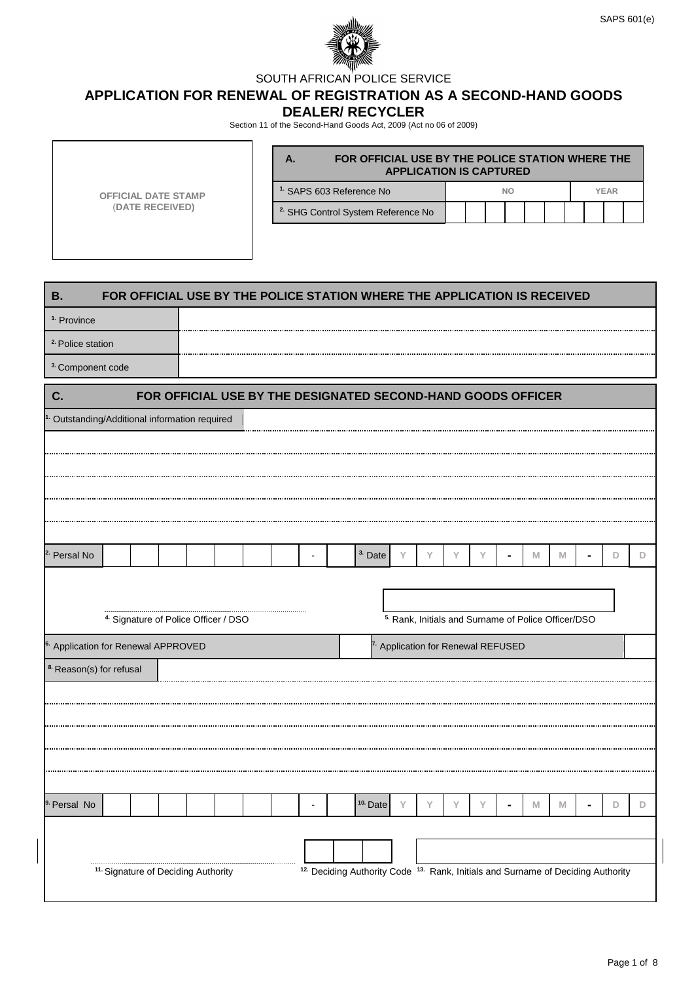

SOUTH AFRICAN POLICE SERVICE

**APPLICATION FOR RENEWAL OF REGISTRATION AS A SECOND-HAND GOODS** 

**DEALER/ RECYCLER**

Section 11 of the Second-Hand Goods Act, 2009 (Act no 06 of 2009)

|                                                           |                                                 |  |                 |  |  |  |  |  |                                                                          |   |                                                                |   | FOR OFFICIAL USE BY THE POLICE STATION WHERE THE<br><b>APPLICATION IS CAPTURED</b> |           |   |  |   |  |             |   |
|-----------------------------------------------------------|-------------------------------------------------|--|-----------------|--|--|--|--|--|--------------------------------------------------------------------------|---|----------------------------------------------------------------|---|------------------------------------------------------------------------------------|-----------|---|--|---|--|-------------|---|
|                                                           | <b>OFFICIAL DATE STAMP</b>                      |  |                 |  |  |  |  |  | <sup>1.</sup> SAPS 603 Reference No                                      |   |                                                                |   |                                                                                    | <b>NO</b> |   |  |   |  | <b>YEAR</b> |   |
|                                                           |                                                 |  | (DATE RECEIVED) |  |  |  |  |  | <sup>2.</sup> SHG Control System Reference No                            |   |                                                                |   |                                                                                    |           |   |  |   |  |             |   |
|                                                           |                                                 |  |                 |  |  |  |  |  |                                                                          |   |                                                                |   |                                                                                    |           |   |  |   |  |             |   |
|                                                           |                                                 |  |                 |  |  |  |  |  |                                                                          |   |                                                                |   |                                                                                    |           |   |  |   |  |             |   |
| <b>B.</b>                                                 |                                                 |  |                 |  |  |  |  |  | FOR OFFICIAL USE BY THE POLICE STATION WHERE THE APPLICATION IS RECEIVED |   |                                                                |   |                                                                                    |           |   |  |   |  |             |   |
| <sup>1.</sup> Province                                    |                                                 |  |                 |  |  |  |  |  |                                                                          |   |                                                                |   |                                                                                    |           |   |  |   |  |             |   |
| <sup>2</sup> Police station                               |                                                 |  |                 |  |  |  |  |  |                                                                          |   |                                                                |   |                                                                                    |           |   |  |   |  |             |   |
| <sup>3</sup> Component code                               |                                                 |  |                 |  |  |  |  |  |                                                                          |   |                                                                |   |                                                                                    |           |   |  |   |  |             |   |
| C.                                                        |                                                 |  |                 |  |  |  |  |  | FOR OFFICIAL USE BY THE DESIGNATED SECOND-HAND GOODS OFFICER             |   |                                                                |   |                                                                                    |           |   |  |   |  |             |   |
| <sup>1.</sup> Outstanding/Additional information required |                                                 |  |                 |  |  |  |  |  |                                                                          |   |                                                                |   |                                                                                    |           |   |  |   |  |             |   |
|                                                           |                                                 |  |                 |  |  |  |  |  |                                                                          |   |                                                                |   |                                                                                    |           |   |  |   |  |             |   |
|                                                           |                                                 |  |                 |  |  |  |  |  |                                                                          |   |                                                                |   |                                                                                    |           |   |  |   |  |             |   |
|                                                           |                                                 |  |                 |  |  |  |  |  |                                                                          |   |                                                                |   |                                                                                    |           |   |  |   |  |             |   |
|                                                           |                                                 |  |                 |  |  |  |  |  |                                                                          |   |                                                                |   |                                                                                    |           |   |  |   |  |             |   |
|                                                           |                                                 |  |                 |  |  |  |  |  |                                                                          |   |                                                                |   |                                                                                    |           |   |  |   |  |             |   |
| <sup>2</sup> Persal No                                    |                                                 |  |                 |  |  |  |  |  | <sup>3</sup> Date                                                        | Y | Υ                                                              | Υ | Y                                                                                  |           | M |  | M |  | D           | D |
|                                                           |                                                 |  |                 |  |  |  |  |  |                                                                          |   |                                                                |   |                                                                                    |           |   |  |   |  |             |   |
|                                                           |                                                 |  |                 |  |  |  |  |  |                                                                          |   |                                                                |   |                                                                                    |           |   |  |   |  |             |   |
|                                                           | <sup>4.</sup> Signature of Police Officer / DSO |  |                 |  |  |  |  |  |                                                                          |   | <sup>5.</sup> Rank, Initials and Surname of Police Officer/DSO |   |                                                                                    |           |   |  |   |  |             |   |
| <sup>6.</sup> Application for Renewal APPROVED            |                                                 |  |                 |  |  |  |  |  |                                                                          |   | <sup>7.</sup> Application for Renewal REFUSED                  |   |                                                                                    |           |   |  |   |  |             |   |
| <sup>8</sup> Reason(s) for refusal                        |                                                 |  |                 |  |  |  |  |  |                                                                          |   |                                                                |   |                                                                                    |           |   |  |   |  |             |   |
|                                                           |                                                 |  |                 |  |  |  |  |  |                                                                          |   |                                                                |   |                                                                                    |           |   |  |   |  |             |   |
|                                                           |                                                 |  |                 |  |  |  |  |  |                                                                          |   |                                                                |   |                                                                                    |           |   |  |   |  |             |   |
|                                                           |                                                 |  |                 |  |  |  |  |  |                                                                          |   |                                                                |   |                                                                                    |           |   |  |   |  |             |   |
|                                                           |                                                 |  |                 |  |  |  |  |  |                                                                          |   |                                                                |   |                                                                                    |           |   |  |   |  |             |   |
| <sup>9.</sup> Persal No                                   |                                                 |  |                 |  |  |  |  |  | <sup>10.</sup> Date                                                      |   |                                                                |   |                                                                                    |           |   |  |   |  |             | D |
|                                                           |                                                 |  |                 |  |  |  |  |  |                                                                          |   |                                                                |   |                                                                                    |           | M |  | M |  | D           |   |
|                                                           |                                                 |  |                 |  |  |  |  |  |                                                                          |   |                                                                |   |                                                                                    |           |   |  |   |  |             |   |
|                                                           |                                                 |  |                 |  |  |  |  |  |                                                                          |   |                                                                |   |                                                                                    |           |   |  |   |  |             |   |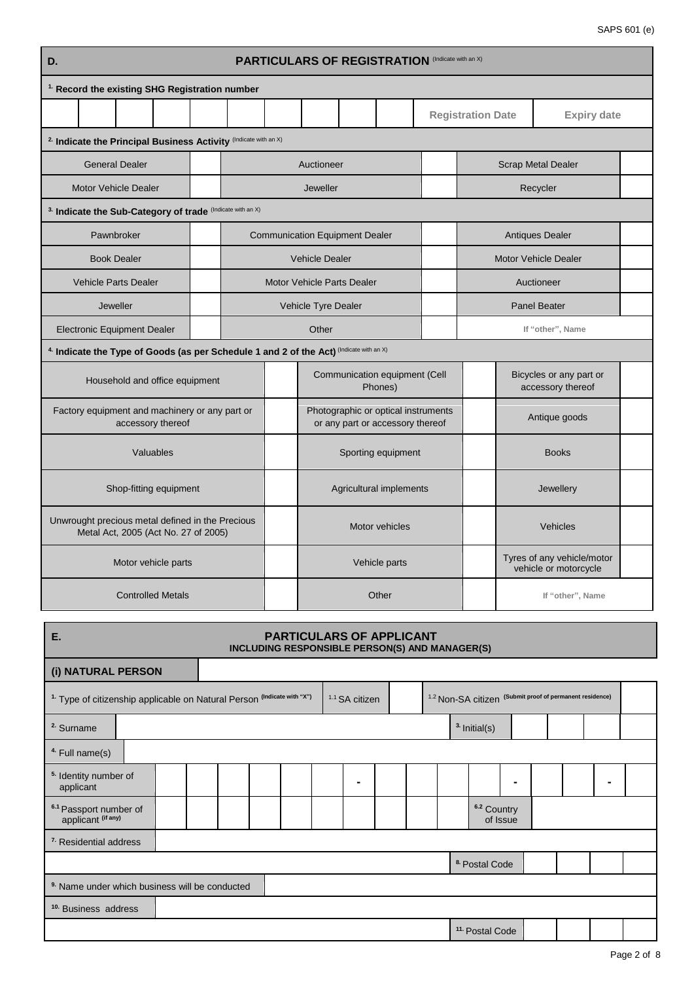| D.                                                                                       | <b>PARTICULARS OF REGISTRATION (Indicate with an X)</b> |       |                                       |  |                                                                         |  |                           |                                                     |                                              |  |  |  |
|------------------------------------------------------------------------------------------|---------------------------------------------------------|-------|---------------------------------------|--|-------------------------------------------------------------------------|--|---------------------------|-----------------------------------------------------|----------------------------------------------|--|--|--|
| <sup>1.</sup> Record the existing SHG Registration number                                |                                                         |       |                                       |  |                                                                         |  |                           |                                                     |                                              |  |  |  |
|                                                                                          |                                                         |       |                                       |  |                                                                         |  | <b>Registration Date</b>  |                                                     | <b>Expiry date</b>                           |  |  |  |
| <sup>2.</sup> Indicate the Principal Business Activity (Indicate with an X)              |                                                         |       |                                       |  |                                                                         |  |                           |                                                     |                                              |  |  |  |
| <b>General Dealer</b>                                                                    |                                                         |       | Auctioneer                            |  |                                                                         |  | <b>Scrap Metal Dealer</b> |                                                     |                                              |  |  |  |
| <b>Motor Vehicle Dealer</b>                                                              |                                                         |       | Jeweller                              |  |                                                                         |  |                           |                                                     | Recycler                                     |  |  |  |
| 3. Indicate the Sub-Category of trade (Indicate with an X)                               |                                                         |       |                                       |  |                                                                         |  |                           |                                                     |                                              |  |  |  |
| Pawnbroker                                                                               |                                                         |       | <b>Communication Equipment Dealer</b> |  |                                                                         |  |                           |                                                     | <b>Antiques Dealer</b>                       |  |  |  |
| <b>Book Dealer</b>                                                                       |                                                         |       | <b>Vehicle Dealer</b>                 |  |                                                                         |  |                           |                                                     | Motor Vehicle Dealer                         |  |  |  |
| <b>Vehicle Parts Dealer</b>                                                              |                                                         |       | <b>Motor Vehicle Parts Dealer</b>     |  |                                                                         |  |                           | Auctioneer                                          |                                              |  |  |  |
| Jeweller                                                                                 |                                                         |       | Vehicle Tyre Dealer                   |  |                                                                         |  |                           |                                                     | <b>Panel Beater</b>                          |  |  |  |
| <b>Electronic Equipment Dealer</b>                                                       |                                                         | Other |                                       |  |                                                                         |  |                           |                                                     | If "other", Name                             |  |  |  |
| 4. Indicate the Type of Goods (as per Schedule 1 and 2 of the Act) (Indicate with an X)  |                                                         |       |                                       |  |                                                                         |  |                           |                                                     |                                              |  |  |  |
| Household and office equipment                                                           |                                                         |       |                                       |  | Communication equipment (Cell<br>Phones)                                |  |                           |                                                     | Bicycles or any part or<br>accessory thereof |  |  |  |
| Factory equipment and machinery or any part or<br>accessory thereof                      |                                                         |       |                                       |  | Photographic or optical instruments<br>or any part or accessory thereof |  |                           | Antique goods                                       |                                              |  |  |  |
| Valuables                                                                                |                                                         |       |                                       |  | Sporting equipment                                                      |  |                           |                                                     | <b>Books</b>                                 |  |  |  |
| Shop-fitting equipment                                                                   |                                                         |       |                                       |  | Agricultural implements                                                 |  |                           |                                                     | Jewellery                                    |  |  |  |
| Unwrought precious metal defined in the Precious<br>Metal Act, 2005 (Act No. 27 of 2005) |                                                         |       | Motor vehicles                        |  |                                                                         |  |                           |                                                     | Vehicles                                     |  |  |  |
| Motor vehicle parts                                                                      |                                                         |       | Vehicle parts                         |  |                                                                         |  |                           | Tyres of any vehicle/motor<br>vehicle or motorcycle |                                              |  |  |  |
| <b>Controlled Metals</b>                                                                 |                                                         |       | Other<br>If "other", Name             |  |                                                                         |  |                           |                                                     |                                              |  |  |  |

| Е.                                                                                 | <b>PARTICULARS OF APPLICANT</b><br>INCLUDING RESPONSIBLE PERSON(S) AND MANAGER(S) |  |  |                |  |  |  |                            |                |  |                                                                     |   |  |  |
|------------------------------------------------------------------------------------|-----------------------------------------------------------------------------------|--|--|----------------|--|--|--|----------------------------|----------------|--|---------------------------------------------------------------------|---|--|--|
| (i) NATURAL PERSON                                                                 |                                                                                   |  |  |                |  |  |  |                            |                |  |                                                                     |   |  |  |
| <sup>1.</sup> Type of citizenship applicable on Natural Person (Indicate with "X") |                                                                                   |  |  | 1.1 SA citizen |  |  |  |                            |                |  | <sup>1.2</sup> Non-SA citizen (Submit proof of permanent residence) |   |  |  |
| <sup>2</sup> Surname                                                               |                                                                                   |  |  |                |  |  |  | <sup>3</sup> Initial(s)    |                |  |                                                                     |   |  |  |
| <sup>4</sup> Full name(s)                                                          |                                                                                   |  |  |                |  |  |  |                            |                |  |                                                                     |   |  |  |
| <sup>5.</sup> Identity number of<br>applicant                                      |                                                                                   |  |  |                |  |  |  |                            | $\blacksquare$ |  |                                                                     | ۰ |  |  |
| <sup>6.1</sup> Passport number of<br>applicant (if any)                            |                                                                                   |  |  |                |  |  |  | 6.2 Country<br>of Issue    |                |  |                                                                     |   |  |  |
| <sup>7</sup> Residential address                                                   |                                                                                   |  |  |                |  |  |  |                            |                |  |                                                                     |   |  |  |
|                                                                                    |                                                                                   |  |  |                |  |  |  | 8. Postal Code             |                |  |                                                                     |   |  |  |
| <sup>9</sup> Name under which business will be conducted                           |                                                                                   |  |  |                |  |  |  |                            |                |  |                                                                     |   |  |  |
| <sup>10.</sup> Business address                                                    |                                                                                   |  |  |                |  |  |  |                            |                |  |                                                                     |   |  |  |
|                                                                                    |                                                                                   |  |  |                |  |  |  | <sup>11.</sup> Postal Code |                |  |                                                                     |   |  |  |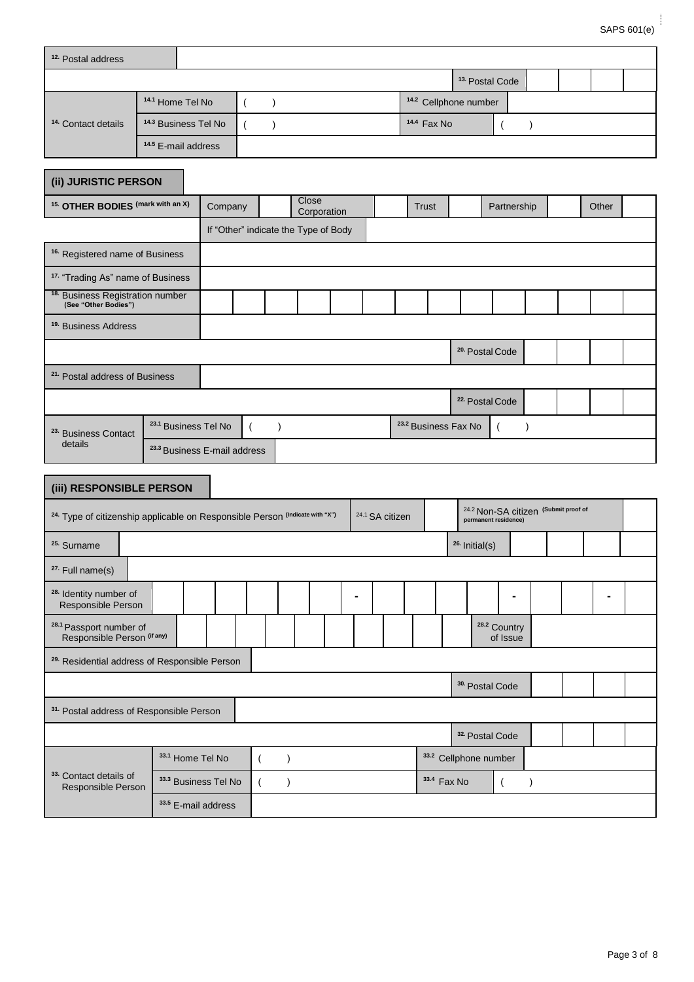| <sup>12.</sup> Postal address                                                           |                                         |                      |                       |                                      |                            |                                 |                                  |                                     |               |                                                 |       |  |
|-----------------------------------------------------------------------------------------|-----------------------------------------|----------------------|-----------------------|--------------------------------------|----------------------------|---------------------------------|----------------------------------|-------------------------------------|---------------|-------------------------------------------------|-------|--|
|                                                                                         |                                         |                      |                       |                                      |                            |                                 | <sup>13</sup> Postal Code        |                                     |               |                                                 |       |  |
|                                                                                         | 14.1 Home Tel No                        |                      | $\lambda$<br>$\left($ |                                      |                            |                                 | <sup>14.2</sup> Cellphone number |                                     |               |                                                 |       |  |
| <sup>14.</sup> Contact details                                                          | <sup>14.3</sup> Business Tel No         |                      | $\left($<br>$\lambda$ |                                      |                            | 14.4 Fax No                     |                                  |                                     | $\lambda$     |                                                 |       |  |
|                                                                                         | <sup>14.5</sup> E-mail address          |                      |                       |                                      |                            |                                 |                                  |                                     |               |                                                 |       |  |
| (ii) JURISTIC PERSON                                                                    |                                         |                      |                       |                                      |                            |                                 |                                  |                                     |               |                                                 |       |  |
| <sup>15.</sup> OTHER BODIES (mark with an X)                                            |                                         | Company              |                       | Close<br>Corporation                 |                            | Trust                           |                                  |                                     | Partnership   |                                                 | Other |  |
|                                                                                         |                                         |                      |                       | If "Other" indicate the Type of Body |                            |                                 |                                  |                                     |               |                                                 |       |  |
| <sup>16.</sup> Registered name of Business                                              |                                         |                      |                       |                                      |                            |                                 |                                  |                                     |               |                                                 |       |  |
| <sup>17.</sup> "Trading As" name of Business                                            |                                         |                      |                       |                                      |                            |                                 |                                  |                                     |               |                                                 |       |  |
| <sup>18.</sup> Business Registration number<br>(See "Other Bodies")                     |                                         |                      |                       |                                      |                            |                                 |                                  |                                     |               |                                                 |       |  |
| <sup>19.</sup> Business Address                                                         |                                         |                      |                       |                                      |                            |                                 |                                  |                                     |               |                                                 |       |  |
|                                                                                         |                                         |                      |                       |                                      |                            |                                 | <sup>20.</sup> Postal Code       |                                     |               |                                                 |       |  |
| <sup>21.</sup> Postal address of Business                                               |                                         |                      |                       |                                      |                            |                                 |                                  |                                     |               |                                                 |       |  |
|                                                                                         |                                         |                      |                       |                                      |                            |                                 | <sup>22.</sup> Postal Code       |                                     |               |                                                 |       |  |
| <sup>23.</sup> Business Contact                                                         | <sup>23.1</sup> Business Tel No         |                      | $\mathcal{E}$         |                                      |                            | <sup>23.2</sup> Business Fax No |                                  |                                     |               |                                                 |       |  |
| details                                                                                 | <sup>23.3</sup> Business E-mail address |                      |                       |                                      |                            |                                 |                                  |                                     |               |                                                 |       |  |
|                                                                                         |                                         |                      |                       |                                      |                            |                                 |                                  |                                     |               |                                                 |       |  |
| (iii) RESPONSIBLE PERSON                                                                |                                         |                      |                       |                                      |                            |                                 |                                  |                                     |               |                                                 |       |  |
| <sup>24.</sup> Type of citizenship applicable on Responsible Person (Indicate with "X") |                                         |                      |                       |                                      | <sup>24.1</sup> SA citizen |                                 | permanent residence)             |                                     |               | <sup>24.2</sup> Non-SA citizen (Submit proof of |       |  |
| <sup>25.</sup> Surname                                                                  |                                         |                      |                       |                                      |                            |                                 | <sup>26.</sup> Initial(s)        |                                     |               |                                                 |       |  |
| <sup>27.</sup> Full name(s)                                                             |                                         |                      |                       |                                      |                            |                                 |                                  |                                     |               |                                                 |       |  |
| <sup>28.</sup> Identity number of<br>Responsible Person                                 |                                         |                      |                       |                                      |                            |                                 |                                  |                                     |               |                                                 |       |  |
| <sup>28.1</sup> Passport number of<br>Responsible Person <sup>(if any)</sup>            |                                         |                      |                       |                                      |                            |                                 |                                  | <sup>28.2</sup> Country<br>of Issue |               |                                                 |       |  |
| <sup>29.</sup> Residential address of Responsible Person                                |                                         |                      |                       |                                      |                            |                                 |                                  |                                     |               |                                                 |       |  |
|                                                                                         |                                         |                      |                       |                                      |                            |                                 | <sup>30.</sup> Postal Code       |                                     |               |                                                 |       |  |
| <sup>31.</sup> Postal address of Responsible Person                                     |                                         |                      |                       |                                      |                            |                                 |                                  |                                     |               |                                                 |       |  |
|                                                                                         |                                         |                      |                       |                                      |                            |                                 | <sup>32</sup> Postal Code        |                                     |               |                                                 |       |  |
|                                                                                         | 33.1 Home Tel No                        |                      | $\overline{(\ }$      | $\lambda$                            |                            |                                 | 33.2 Cellphone number            |                                     |               |                                                 |       |  |
| 33. Contact details of<br>Responsible Person                                            |                                         | 33.3 Business Tel No | $\left($              | $\lambda$                            |                            | 33.4 Fax No                     |                                  |                                     | $\mathcal{E}$ |                                                 |       |  |
|                                                                                         |                                         | 33.5 E-mail address  |                       |                                      |                            |                                 |                                  |                                     |               |                                                 |       |  |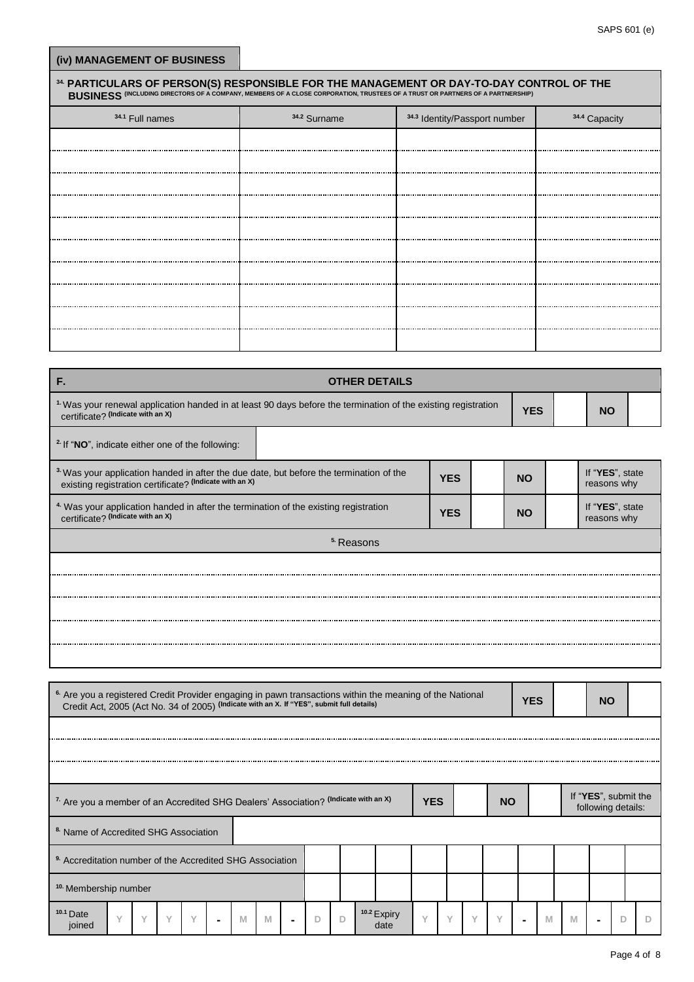| 34.1 Full names | 34.2 Surname         | 34.3 Identity/Passport number | <sup>34.4</sup> Capacity |
|-----------------|----------------------|-------------------------------|--------------------------|
|                 |                      |                               |                          |
|                 |                      |                               |                          |
|                 |                      |                               |                          |
|                 |                      |                               |                          |
|                 |                      |                               |                          |
|                 |                      |                               |                          |
|                 |                      |                               |                          |
|                 |                      |                               |                          |
|                 |                      |                               |                          |
|                 |                      |                               |                          |
|                 |                      |                               |                          |
| F.              | <b>OTHER DETAILS</b> |                               |                          |

| <sup>2</sup> If "NO", indicate either one of the following:                                                                                                  |                       |            |           |                                |
|--------------------------------------------------------------------------------------------------------------------------------------------------------------|-----------------------|------------|-----------|--------------------------------|
| <sup>3</sup> Was your application handed in after the due date, but before the termination of the<br>existing registration certificate? (Indicate with an X) |                       | <b>YES</b> | <b>NO</b> | If "YES", state<br>reasons why |
| <sup>4</sup> Was your application handed in after the termination of the existing registration<br>certificate? (Indicate with an X)                          |                       | <b>YES</b> | <b>NO</b> | If "YES", state<br>reasons why |
|                                                                                                                                                              | <sup>5.</sup> Reasons |            |           |                                |
|                                                                                                                                                              |                       |            |           |                                |
|                                                                                                                                                              |                       |            |           |                                |
|                                                                                                                                                              |                       |            |           |                                |
|                                                                                                                                                              |                       |            |           |                                |
|                                                                                                                                                              |                       |            |           |                                |

| <sup>6.</sup> Are you a registered Credit Provider engaging in pawn transactions within the meaning of the National<br>Credit Act, 2005 (Act No. 34 of 2005) (Indicate with an X. If "YES", submit full details) |                                                                                                              |              |              |                |   |   |  |   |   |  |                                |           |           |           |              | <b>YES</b> |                                            |   | <b>NO</b> |   |  |
|------------------------------------------------------------------------------------------------------------------------------------------------------------------------------------------------------------------|--------------------------------------------------------------------------------------------------------------|--------------|--------------|----------------|---|---|--|---|---|--|--------------------------------|-----------|-----------|-----------|--------------|------------|--------------------------------------------|---|-----------|---|--|
|                                                                                                                                                                                                                  |                                                                                                              |              |              |                |   |   |  |   |   |  |                                |           |           |           |              |            |                                            |   |           |   |  |
|                                                                                                                                                                                                                  |                                                                                                              |              |              |                |   |   |  |   |   |  |                                |           |           |           |              |            |                                            |   |           |   |  |
|                                                                                                                                                                                                                  |                                                                                                              |              |              |                |   |   |  |   |   |  |                                |           |           |           |              |            |                                            |   |           |   |  |
|                                                                                                                                                                                                                  | <sup>7.</sup> Are you a member of an Accredited SHG Dealers' Association? (Indicate with an X)<br><b>YES</b> |              |              |                |   |   |  |   |   |  |                                |           | <b>NO</b> |           |              |            | If "YES", submit the<br>following details: |   |           |   |  |
| <sup>8</sup> Name of Accredited SHG Association                                                                                                                                                                  |                                                                                                              |              |              |                |   |   |  |   |   |  |                                |           |           |           |              |            |                                            |   |           |   |  |
| <sup>9</sup> Accreditation number of the Accredited SHG Association                                                                                                                                              |                                                                                                              |              |              |                |   |   |  |   |   |  |                                |           |           |           |              |            |                                            |   |           |   |  |
| <sup>10</sup> Membership number                                                                                                                                                                                  |                                                                                                              |              |              |                |   |   |  |   |   |  |                                |           |           |           |              |            |                                            |   |           |   |  |
| $10.1$ Date<br>$\checkmark$<br>joined                                                                                                                                                                            | $\checkmark$                                                                                                 | $\checkmark$ | $\checkmark$ | $\blacksquare$ | M | M |  | D | D |  | <sup>10.2</sup> Expiry<br>date | $\sqrt{}$ | $\sqrt{}$ | $\sqrt{}$ | $\checkmark$ |            | M                                          | M |           | D |  |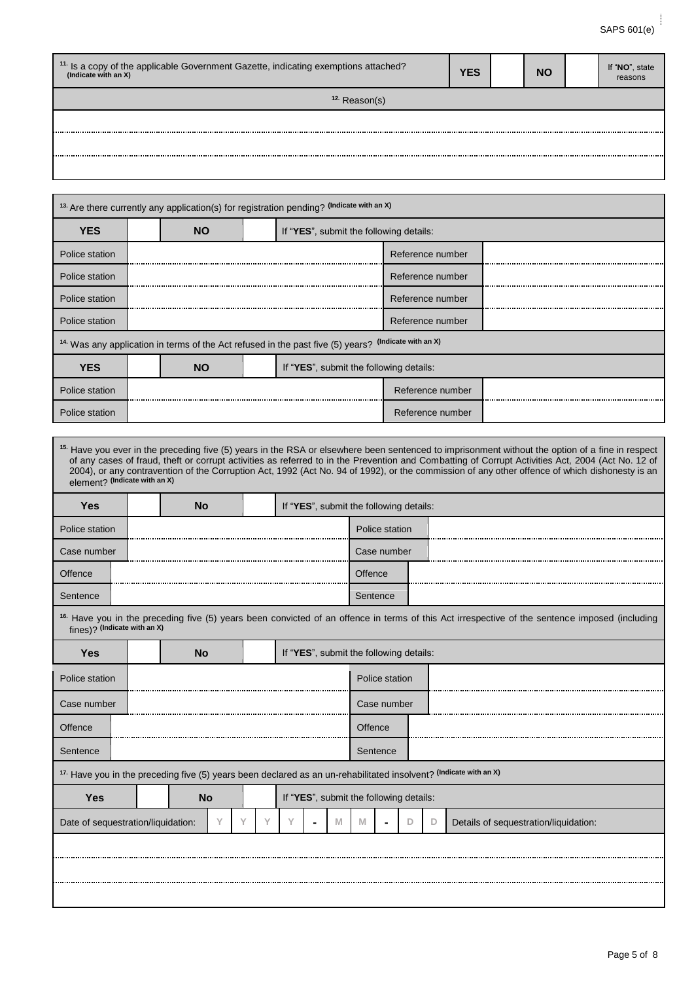| <sup>11.</sup> Is a copy of the applicable Government Gazette, indicating exemptions attached?<br>(Indicate with an X) | <b>YES</b> | <b>NO</b> | If "NO", state<br>reasons |
|------------------------------------------------------------------------------------------------------------------------|------------|-----------|---------------------------|
| <sup>12.</sup> Reason(s)                                                                                               |            |           |                           |
|                                                                                                                        |            |           |                           |
|                                                                                                                        |            |           |                           |
|                                                                                                                        |            |           |                           |

Г

| <b>YES</b>     | <b>NO</b> | If "YES", submit the following details:                                                                         |                  |  |  |  |  |  |  |
|----------------|-----------|-----------------------------------------------------------------------------------------------------------------|------------------|--|--|--|--|--|--|
| Police station |           |                                                                                                                 | Reference number |  |  |  |  |  |  |
| Police station |           |                                                                                                                 | Reference number |  |  |  |  |  |  |
| Police station |           |                                                                                                                 | Reference number |  |  |  |  |  |  |
| Police station |           |                                                                                                                 | Reference number |  |  |  |  |  |  |
|                |           | <sup>14.</sup> Was any application in terms of the Act refused in the past five (5) years? (Indicate with an X) |                  |  |  |  |  |  |  |
| <b>YES</b>     | <b>NO</b> | If "YES", submit the following details:                                                                         |                  |  |  |  |  |  |  |
| Police station |           |                                                                                                                 | Reference number |  |  |  |  |  |  |
|                |           |                                                                                                                 |                  |  |  |  |  |  |  |

| element? (Indicate with an X)                                                                                     |           |   |  |                                         |   |         |                |   | <sup>15.</sup> Have you ever in the preceding five (5) years in the RSA or elsewhere been sentenced to imprisonment without the option of a fine in respect<br>of any cases of fraud, theft or corrupt activities as referred to in the Prevention and Combatting of Corrupt Activities Act, 2004 (Act No. 12 of<br>2004), or any contravention of the Corruption Act, 1992 (Act No. 94 of 1992), or the commission of any other offence of which dishonesty is an |
|-------------------------------------------------------------------------------------------------------------------|-----------|---|--|-----------------------------------------|---|---------|----------------|---|--------------------------------------------------------------------------------------------------------------------------------------------------------------------------------------------------------------------------------------------------------------------------------------------------------------------------------------------------------------------------------------------------------------------------------------------------------------------|
| <b>Yes</b>                                                                                                        | <b>No</b> |   |  | If "YES", submit the following details: |   |         |                |   |                                                                                                                                                                                                                                                                                                                                                                                                                                                                    |
| Police station                                                                                                    |           |   |  |                                         |   |         | Police station |   |                                                                                                                                                                                                                                                                                                                                                                                                                                                                    |
| Case number                                                                                                       |           |   |  |                                         |   |         | Case number    |   |                                                                                                                                                                                                                                                                                                                                                                                                                                                                    |
| Offence                                                                                                           |           |   |  |                                         |   | Offence |                |   |                                                                                                                                                                                                                                                                                                                                                                                                                                                                    |
| Sentence                                                                                                          |           |   |  |                                         |   |         | Sentence       |   |                                                                                                                                                                                                                                                                                                                                                                                                                                                                    |
| fines)? (Indicate with an X)                                                                                      |           |   |  |                                         |   |         |                |   | <sup>16.</sup> Have you in the preceding five (5) years been convicted of an offence in terms of this Act irrespective of the sentence imposed (including                                                                                                                                                                                                                                                                                                          |
| <b>Yes</b>                                                                                                        | <b>No</b> |   |  | If "YES", submit the following details: |   |         |                |   |                                                                                                                                                                                                                                                                                                                                                                                                                                                                    |
| Police station                                                                                                    |           |   |  |                                         |   |         | Police station |   |                                                                                                                                                                                                                                                                                                                                                                                                                                                                    |
| Case number                                                                                                       |           |   |  |                                         |   |         | Case number    |   |                                                                                                                                                                                                                                                                                                                                                                                                                                                                    |
| Offence                                                                                                           |           |   |  |                                         |   | Offence |                |   |                                                                                                                                                                                                                                                                                                                                                                                                                                                                    |
| Sentence                                                                                                          |           |   |  |                                         |   |         | Sentence       |   |                                                                                                                                                                                                                                                                                                                                                                                                                                                                    |
| 17. Have you in the preceding five (5) years been declared as an un-rehabilitated insolvent? (Indicate with an X) |           |   |  |                                         |   |         |                |   |                                                                                                                                                                                                                                                                                                                                                                                                                                                                    |
| <b>Yes</b>                                                                                                        | <b>No</b> |   |  | If "YES", submit the following details: |   |         |                |   |                                                                                                                                                                                                                                                                                                                                                                                                                                                                    |
| Date of sequestration/liquidation:                                                                                |           | Υ |  |                                         | M | M       |                | D | Details of sequestration/liquidation:                                                                                                                                                                                                                                                                                                                                                                                                                              |
|                                                                                                                   |           |   |  |                                         |   |         |                |   |                                                                                                                                                                                                                                                                                                                                                                                                                                                                    |
|                                                                                                                   |           |   |  |                                         |   |         |                |   |                                                                                                                                                                                                                                                                                                                                                                                                                                                                    |
|                                                                                                                   |           |   |  |                                         |   |         |                |   |                                                                                                                                                                                                                                                                                                                                                                                                                                                                    |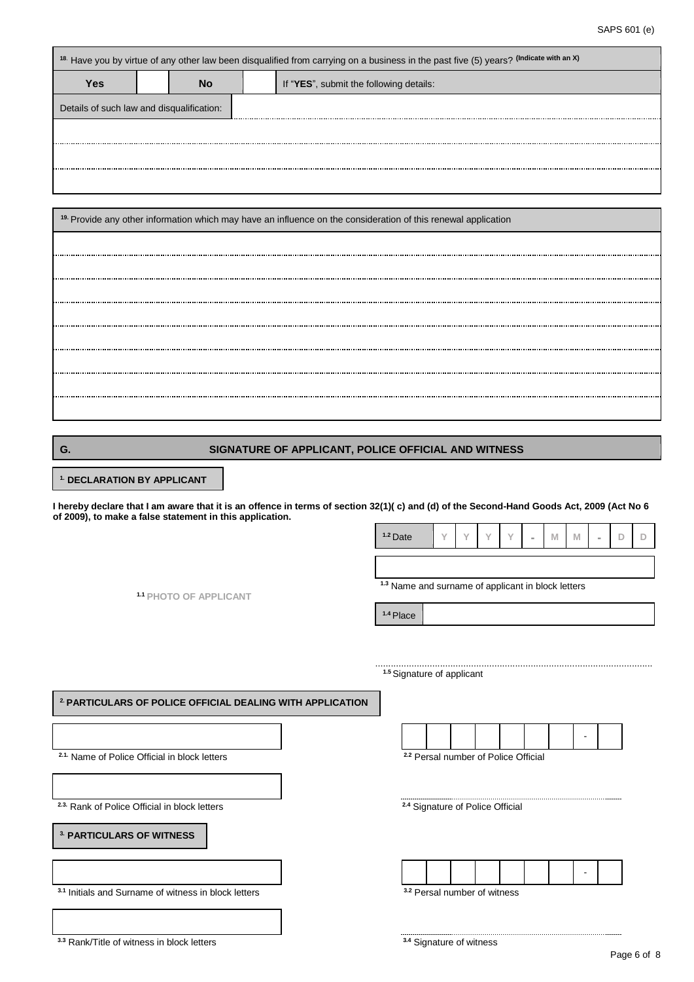|                                           |    | <sup>18.</sup> Have you by virtue of any other law been disqualified from carrying on a business in the past five (5) years? (Indicate with an X) |
|-------------------------------------------|----|---------------------------------------------------------------------------------------------------------------------------------------------------|
| Yes                                       | Nο | If "YES", submit the following details:                                                                                                           |
| Details of such law and disqualification: |    |                                                                                                                                                   |
|                                           |    |                                                                                                                                                   |
|                                           |    |                                                                                                                                                   |
|                                           |    |                                                                                                                                                   |

| <sup>19.</sup> Provide any other information which may have an influence on the consideration of this renewal application |
|---------------------------------------------------------------------------------------------------------------------------|
|                                                                                                                           |
|                                                                                                                           |
|                                                                                                                           |
|                                                                                                                           |
|                                                                                                                           |
|                                                                                                                           |
|                                                                                                                           |
|                                                                                                                           |

## **G. SIGNATURE OF APPLICANT, POLICE OFFICIAL AND WITNESS**

 **1. DECLARATION BY APPLICANT**

**I hereby declare that I am aware that it is an offence in terms of section 32(1)( c) and (d) of the Second-Hand Goods Act, 2009 (Act No 6 of 2009), to make a false statement in this application.**

**1.1 PHOTO OF APPLICANT**

........................................................................................................... **1.5**Signature of applicant

**1.4** Place

**1.2** Date **Y Y Y Y - M M - D D**

**1.3** Name and surname of applicant in block letters

**2. PARTICULARS OF POLICE OFFICIAL DEALING WITH APPLICATION** -  **2.1.** Name of Police Official in block letters **2.2** Persal number of Police Official **2.3.** Rank of Police Official in block letters **2.4 Signature of Police Official 3. PARTICULARS OF WITNESS** - **3.1** Initials and Surname of witness in block letters **3.2** Persal number of witness

**3.3** Rank/Title of witness in block letters

**3.4** Signature of witness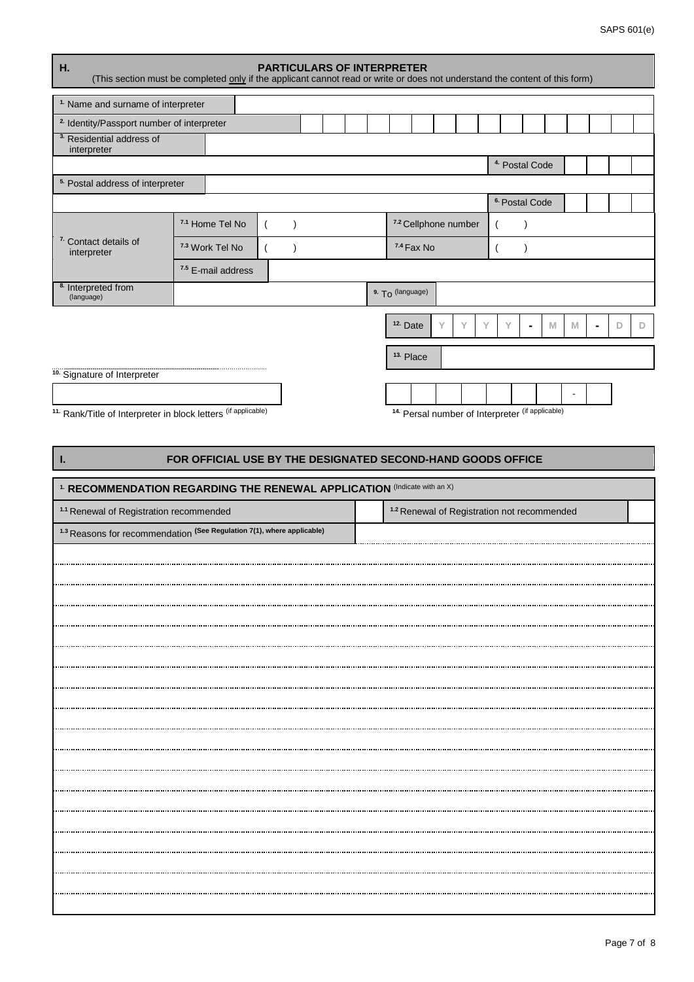| Η.<br>(This section must be completed only if the applicant cannot read or write or does not understand the content of this form) |                            |                               | <b>PARTICULARS OF INTERPRETER</b> |  |                     |                      |                      |  |                           |   |   |   |   |
|-----------------------------------------------------------------------------------------------------------------------------------|----------------------------|-------------------------------|-----------------------------------|--|---------------------|----------------------|----------------------|--|---------------------------|---|---|---|---|
| <sup>1.</sup> Name and surname of interpreter                                                                                     |                            |                               |                                   |  |                     |                      |                      |  |                           |   |   |   |   |
| <sup>2.</sup> Identity/Passport number of interpreter                                                                             |                            |                               |                                   |  |                     |                      |                      |  |                           |   |   |   |   |
| <sup>3</sup> Residential address of<br>interpreter                                                                                |                            |                               |                                   |  |                     |                      |                      |  |                           |   |   |   |   |
|                                                                                                                                   |                            |                               |                                   |  |                     |                      |                      |  | <sup>4.</sup> Postal Code |   |   |   |   |
| <sup>5.</sup> Postal address of interpreter                                                                                       |                            |                               |                                   |  |                     |                      |                      |  |                           |   |   |   |   |
|                                                                                                                                   |                            |                               |                                   |  |                     |                      |                      |  | <sup>6.</sup> Postal Code |   |   |   |   |
|                                                                                                                                   | <sup>7.1</sup> Home Tel No |                               |                                   |  |                     |                      | 7.2 Cellphone number |  |                           |   |   |   |   |
| <sup>7.</sup> Contact details of<br>interpreter                                                                                   | <sup>7.3</sup> Work Tel No |                               |                                   |  |                     | 7.4 Fax No           |                      |  |                           |   |   |   |   |
|                                                                                                                                   |                            | <sup>7.5</sup> E-mail address |                                   |  |                     |                      |                      |  |                           |   |   |   |   |
| <sup>8.</sup> Interpreted from<br>(language)                                                                                      |                            |                               |                                   |  | 9. To (language)    |                      |                      |  |                           |   |   |   |   |
|                                                                                                                                   |                            |                               |                                   |  | <sup>12.</sup> Date |                      |                      |  |                           | M | M | D | D |
|                                                                                                                                   |                            |                               |                                   |  |                     | <sup>13.</sup> Place |                      |  |                           |   |   |   |   |
| <sup>10</sup> Signature of Interpreter                                                                                            |                            |                               |                                   |  |                     |                      |                      |  |                           |   |   |   |   |

**11.** Rank/Title of Interpreter in block letters (if applicable)

**14.** Persal number of Interpreter (if applicable)

## **I. FOR OFFICIAL USE BY THE DESIGNATED SECOND-HAND GOODS OFFICE**

| <sup>1.</sup> RECOMMENDATION REGARDING THE RENEWAL APPLICATION (Indicate with an X) |                                                        |  |  |  |  |  |  |  |
|-------------------------------------------------------------------------------------|--------------------------------------------------------|--|--|--|--|--|--|--|
| <sup>1.1</sup> Renewal of Registration recommended                                  | <sup>1.2</sup> Renewal of Registration not recommended |  |  |  |  |  |  |  |
| <sup>1.3</sup> Reasons for recommendation (See Regulation 7(1), where applicable)   |                                                        |  |  |  |  |  |  |  |
|                                                                                     |                                                        |  |  |  |  |  |  |  |
|                                                                                     |                                                        |  |  |  |  |  |  |  |
|                                                                                     |                                                        |  |  |  |  |  |  |  |
|                                                                                     |                                                        |  |  |  |  |  |  |  |
|                                                                                     |                                                        |  |  |  |  |  |  |  |
|                                                                                     |                                                        |  |  |  |  |  |  |  |
|                                                                                     |                                                        |  |  |  |  |  |  |  |
|                                                                                     |                                                        |  |  |  |  |  |  |  |
|                                                                                     |                                                        |  |  |  |  |  |  |  |
|                                                                                     |                                                        |  |  |  |  |  |  |  |
|                                                                                     |                                                        |  |  |  |  |  |  |  |
|                                                                                     |                                                        |  |  |  |  |  |  |  |
|                                                                                     |                                                        |  |  |  |  |  |  |  |
|                                                                                     |                                                        |  |  |  |  |  |  |  |
|                                                                                     |                                                        |  |  |  |  |  |  |  |
|                                                                                     |                                                        |  |  |  |  |  |  |  |
|                                                                                     |                                                        |  |  |  |  |  |  |  |
|                                                                                     |                                                        |  |  |  |  |  |  |  |